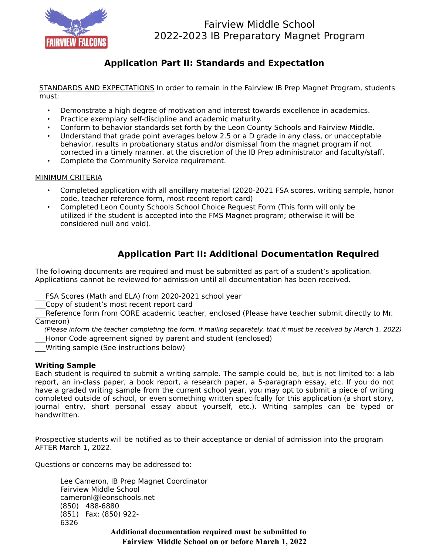

# Fairview Middle School 2022-2023 IB Preparatory Magnet Program

## **Application Part II: Standards and Expectation**

STANDARDS AND EXPECTATIONS In order to remain in the Fairview IB Prep Magnet Program, students must:

- Demonstrate a high degree of motivation and interest towards excellence in academics.
- Practice exemplary self-discipline and academic maturity.
- Conform to behavior standards set forth by the Leon County Schools and Fairview Middle.
- Understand that grade point averages below 2.5 or a D grade in any class, or unacceptable behavior, results in probationary status and/or dismissal from the magnet program if not corrected in a timely manner, at the discretion of the IB Prep administrator and faculty/staff.
- Complete the Community Service requirement.

#### MINIMUM CRITERIA

- Completed application with all ancillary material (2020-2021 FSA scores, writing sample, honor code, teacher reference form, most recent report card)
- Completed Leon County Schools School Choice Request Form (This form will only be utilized if the student is accepted into the FMS Magnet program; otherwise it will be considered null and void).

## **Application Part II: Additional Documentation Required**

The following documents are required and must be submitted as part of a student's application. Applications cannot be reviewed for admission until all documentation has been received.

FSA Scores (Math and ELA) from 2020-2021 school year

Copy of student's most recent report card

Reference form from CORE academic teacher, enclosed (Please have teacher submit directly to Mr. Cameron)

(Please inform the teacher completing the form, if mailing separately, that it must be received by March 1, 2022)

- Honor Code agreement signed by parent and student (enclosed)
- \_\_\_Writing sample (See instructions below)

### **Writing Sample**

Each student is required to submit a writing sample. The sample could be, but is not limited to: a lab report, an in-class paper, a book report, a research paper, a 5-paragraph essay, etc. If you do not have a graded writing sample from the current school year, you may opt to submit a piece of writing completed outside of school, or even something written specifcally for this application (a short story, journal entry, short personal essay about yourself, etc.). Writing samples can be typed or handwritten.

Prospective students will be notified as to their acceptance or denial of admission into the program AFTER March 1, 2022.

Questions or concerns may be addressed to:

Lee Cameron, IB Prep Magnet Coordinator Fairview Middle School cameronl@leonschools.net (850) 488-6880 (851) Fax: (850) 922- 6326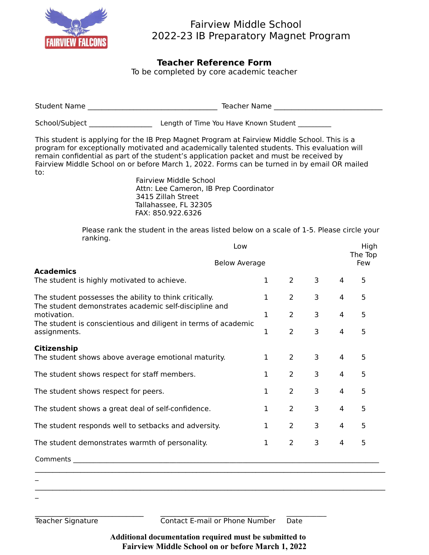

# Fairview Middle School 2022-23 IB Preparatory Magnet Program

### **Teacher Reference Form**

To be completed by core academic teacher

| <b>Student Name</b> | Teacher Name                          |
|---------------------|---------------------------------------|
| School/Subject      | Length of Time You Have Known Student |

This student is applying for the IB Prep Magnet Program at Fairview Middle School. This is a program for exceptionally motivated and academically talented students. This evaluation will remain confidential as part of the student's application packet and must be received by Fairview Middle School on or before March 1, 2022. Forms can be turned in by email OR mailed to:

Fairview Middle School Attn: Lee Cameron, IB Prep Coordinator 3415 Zillah Street Tallahassee, FL 32305 FAX: 850.922.6326

Please rank the student in the areas listed below on a scale of 1-5. Please circle your ranking.

| Low                                                                                                             | <b>Below Average</b> |                |                |                | High<br>The Top<br>Few |  |
|-----------------------------------------------------------------------------------------------------------------|----------------------|----------------|----------------|----------------|------------------------|--|
| <b>Academics</b><br>The student is highly motivated to achieve.                                                 | $\mathbf 1$          | $\overline{2}$ | 3              | 4              | 5                      |  |
| The student possesses the ability to think critically.<br>The student demonstrates academic self-discipline and | $\mathbf{1}$         | 2              | 3              | 4              | 5                      |  |
| motivation.                                                                                                     | $\mathbf{1}$         | $2^{\sim}$     | 3              | 4              | 5                      |  |
| The student is conscientious and diligent in terms of academic<br>assignments.                                  | $\mathbf 1$          | $\overline{2}$ | 3              | 4              | 5                      |  |
| Citizenship                                                                                                     |                      |                |                |                |                        |  |
| The student shows above average emotional maturity.                                                             | $\mathbf{1}$         | $\overline{2}$ | 3              | 4              | 5                      |  |
| The student shows respect for staff members.                                                                    | $\mathbf{1}$         | $2^{\circ}$    | 3              | 4              | 5                      |  |
| The student shows respect for peers.                                                                            |                      | $\overline{2}$ | $\overline{3}$ | $\overline{4}$ | 5                      |  |
| The student shows a great deal of self-confidence.                                                              | $\mathbf{1}$         | $\overline{2}$ | 3              | $\overline{4}$ | 5                      |  |
| The student responds well to setbacks and adversity.                                                            | $\mathbf{1}$         | 2              | 3              | 4              | 5                      |  |
| The student demonstrates warmth of personality.                                                                 |                      | 2              | 3              | 4              | 5                      |  |
| Comments                                                                                                        |                      |                |                |                |                        |  |

 $\mathcal{L}(\mathcal{L})$  $\mathcal{L}_\text{max} = \mathcal{L}_\text{max} = \mathcal{L}_\text{max} = \mathcal{L}_\text{max} = \mathcal{L}_\text{max} = \mathcal{L}_\text{max} = \mathcal{L}_\text{max} = \mathcal{L}_\text{max} = \mathcal{L}_\text{max} = \mathcal{L}_\text{max} = \mathcal{L}_\text{max} = \mathcal{L}_\text{max} = \mathcal{L}_\text{max} = \mathcal{L}_\text{max} = \mathcal{L}_\text{max} = \mathcal{L}_\text{max} = \mathcal{L}_\text{max} = \mathcal{L}_\text{max} = \mathcal{$ 

\_\_\_\_\_\_\_\_\_\_\_\_\_\_\_\_\_\_\_\_\_\_\_\_\_\_\_\_\_\_\_ \_\_\_\_\_\_\_\_\_\_\_\_\_\_\_\_\_\_\_\_\_\_\_\_\_\_\_\_\_\_\_ \_\_\_\_\_\_\_\_\_\_\_\_

Teacher Signature **Contact E-mail or Phone Number** Date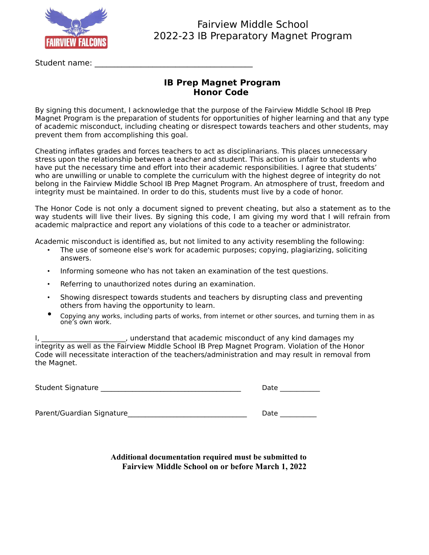

## Fairview Middle School 2022-23 IB Preparatory Magnet Program

Student name:

### **IB Prep Magnet Program Honor Code**

By signing this document, I acknowledge that the purpose of the Fairview Middle School IB Prep Magnet Program is the preparation of students for opportunities of higher learning and that any type of academic misconduct, including cheating or disrespect towards teachers and other students, may prevent them from accomplishing this goal.

Cheating inflates grades and forces teachers to act as disciplinarians. This places unnecessary stress upon the relationship between a teacher and student. This action is unfair to students who have put the necessary time and effort into their academic responsibilities. I agree that students' who are unwilling or unable to complete the curriculum with the highest degree of integrity do not belong in the Fairview Middle School IB Prep Magnet Program. An atmosphere of trust, freedom and integrity must be maintained. In order to do this, students must live by a code of honor.

The Honor Code is not only a document signed to prevent cheating, but also a statement as to the way students will live their lives. By signing this code, I am giving my word that I will refrain from academic malpractice and report any violations of this code to a teacher or administrator.

Academic misconduct is identified as, but not limited to any activity resembling the following:

- The use of someone else's work for academic purposes; copying, plagiarizing, soliciting answers.
- Informing someone who has not taken an examination of the test questions.
- Referring to unauthorized notes during an examination.
- Showing disrespect towards students and teachers by disrupting class and preventing others from having the opportunity to learn.
- Copying any works, including parts of works, from internet or other sources, and turning them in as one's own work.

I, \_\_\_\_\_\_\_\_\_\_\_\_\_\_\_\_\_\_\_\_\_, understand that academic misconduct of any kind damages my integrity as well as the Fairview Middle School IB Prep Magnet Program. Violation of the Honor Code will necessitate interaction of the teachers/administration and may result in removal from the Magnet.

| <b>Student Signature</b> | Date |  |
|--------------------------|------|--|
|--------------------------|------|--|

Parent/Guardian Signature\_\_\_\_\_\_\_\_\_\_\_\_\_\_\_\_\_\_\_\_\_\_\_\_\_\_\_\_\_\_\_\_\_\_ Date \_\_\_\_\_\_\_\_\_\_\_